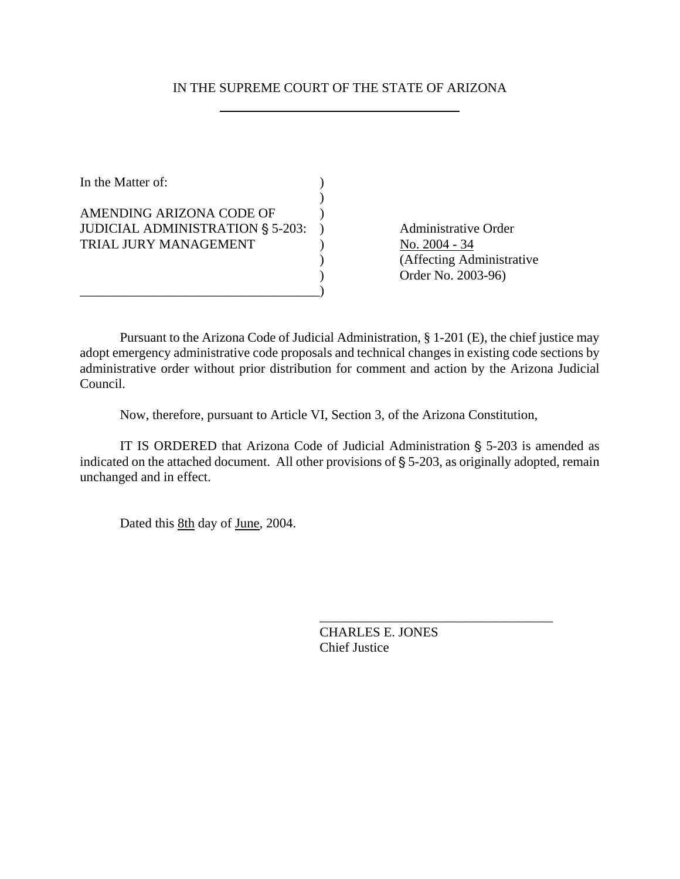## IN THE SUPREME COURT OF THE STATE OF ARIZONA

In the Matter of:  $\qquad \qquad$  )  $\mathcal{L}$ AMENDING ARIZONA CODE OF  $\qquad\qquad$  ) JUDICIAL ADMINISTRATION § 5-203: ) Administrative Order TRIAL JURY MANAGEMENT (a) (b) No. 2004 - 34 \_\_\_\_\_\_\_\_\_\_\_\_\_\_\_\_\_\_\_\_\_\_\_\_\_\_\_\_\_\_\_\_\_\_\_\_)

) (Affecting Administrative ) Order No. 2003-96)

Pursuant to the Arizona Code of Judicial Administration, § 1-201 (E), the chief justice may adopt emergency administrative code proposals and technical changes in existing code sections by administrative order without prior distribution for comment and action by the Arizona Judicial Council.

Now, therefore, pursuant to Article VI, Section 3, of the Arizona Constitution,

IT IS ORDERED that Arizona Code of Judicial Administration § 5-203 is amended as indicated on the attached document. All other provisions of  $\S$  5-203, as originally adopted, remain unchanged and in effect.

Dated this 8th day of June, 2004.

CHARLES E. JONES Chief Justice

\_\_\_\_\_\_\_\_\_\_\_\_\_\_\_\_\_\_\_\_\_\_\_\_\_\_\_\_\_\_\_\_\_\_\_